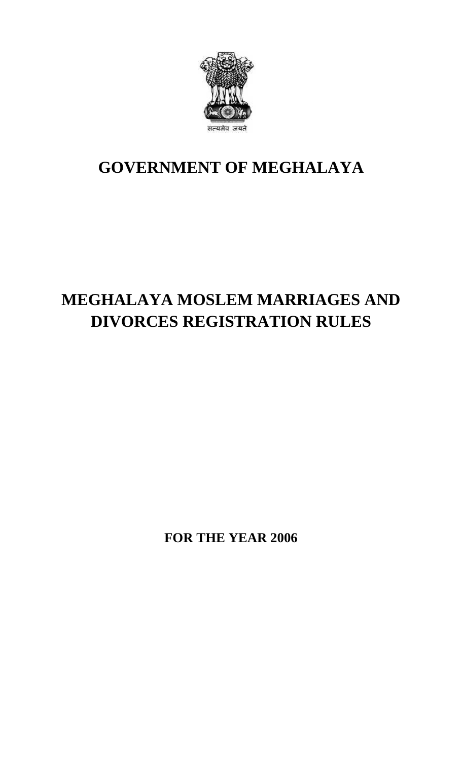

## **GOVERNMENT OF MEGHALAYA**

## **MEGHALAYA MOSLEM MARRIAGES AND DIVORCES REGISTRATION RULES**

**FOR THE YEAR 2006**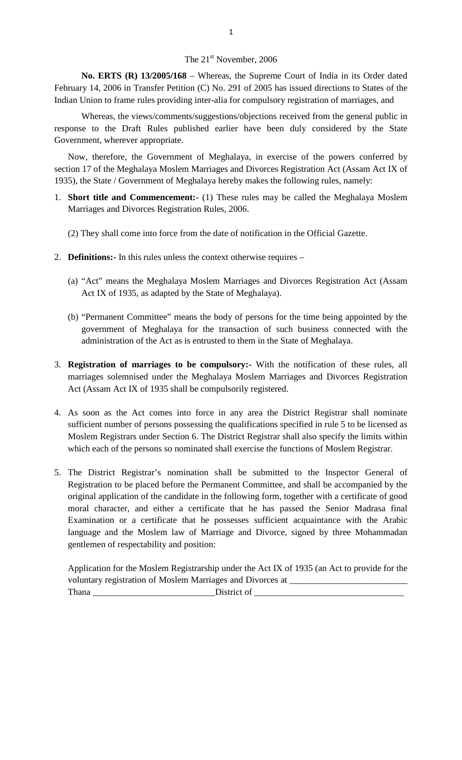## The 21<sup>st</sup> November, 2006

**No. ERTS (R) 13/2005/168** – Whereas, the Supreme Court of India in its Order dated February 14, 2006 in Transfer Petition (C) No. 291 of 2005 has issued directions to States of the Indian Union to frame rules providing inter-alia for compulsory registration of marriages, and

Whereas, the views/comments/suggestions/objections received from the general public in response to the Draft Rules published earlier have been duly considered by the State Government, wherever appropriate. Whereas, the views/comments/suggestions/objections received from the general public in<br>onse to the Draft Rules published earlier have been duly considered by the State<br>vernment, wherever appropriate.<br>Now, therefore, the Go

section 17 of the Meghalaya Moslem Marriages and Divorces Registration Act (Assam Act IX of 1935), the State / Government of Meghalaya hereby makes the following rules, namely: Now, therefore, the Government of Meghalaya, in exercise of the powers conferred by section 17 of the Meghalaya Moslem Marriages and Divorces Registration Act (Assam Act IX of 1935), the State / Government of Meghalaya her

- Marriages and Divorces Registration Rules, 2006.
	- (2) They shall come into force from the date of notification in the Official Gazette.
- 2. **Definitions:-** In this rules unless the context otherwise requires
	- (a) "Act" means the Meghalaya Moslem Marriages and Divorces Registration Act (Assam Act IX of 1935, as adapted by the State of Meghalaya).
- (b) "Permanent Committee" means the body of persons for the time being appointed by the government of Meghalaya for the transaction of such business connected with the administration of the Act as is entrusted to them in the State of Meghalaya. 9. The marriages of marriages to be compulsory:- With the notification of these rules, all marriages solemnised under the Meghalaya Moslem Marriages and Divorces Registration of marriages solemnised under the Meghalaya Mos
- Act (Assam Act IX of 1935 shall be compulsorily registered. 4. As soon as the Act comes into force in any area the District Registrar shall nominate<br>sufficient number of persons possessing the qualifications specified in rule 5 to be licensed as<br>afficient number of persons possessi
- marriages solemnised under the Meghalaya Moslem Marriages and Divorces Registration<br>Act (Assam Act IX of 1935 shall be compulsorily registered.<br>As soon as the Act comes into force in any area the District Registrar shall n As soon as the Act comes into force in any area the District Registrar shall nominate sufficient number of persons possessing the qualifications specified in rule 5 to be licensed as Moslem Registrars under Section 6. The
- 5. The District Registrar's nomination shall be submitted to the Inspector General of Registration to be placed before the Permanent Committee, and shall be accompanied by the original application of the candidate in the following form, together with a certificate of good moral character, and either a certificate that he has passed the Senior Madrasa final Examination or a certificate that he possesses sufficient acquaintance with the Arabic language and the Moslem law of Marriage and Divorce, signed by three Mohammadan gentlemen of respectability and position:

Application for the Moslem Registrarship under the Act IX of 1935 (an Act to provide for the voluntary registration of Moslem Marriages and Divorces at \_\_\_\_\_\_\_\_\_\_\_\_\_\_\_\_\_\_\_\_\_\_\_\_\_\_ District of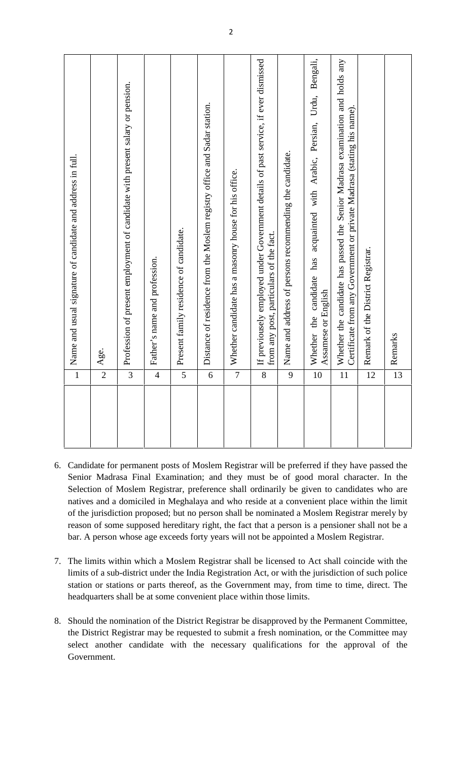| Name and usual signature of candidate and address in full.<br>$\mathbf 1$ | Profession of present employment of candidate with present salary or pension.<br>Age.<br>$\overline{\mathbf{3}}$<br>$\overline{2}$ | Father's name and profession.<br>$\overline{4}$ | Present family residence of candidate.<br>5 | Distance of residence from the Moslem registry office and Sadar station.<br>6 | Whether candidate has a masonry house for his office.<br>$\overline{7}$ | If previousely employed under Government details of past service, if ever dismissed<br>from any post, particulars of the fact.<br>8 | Name and address of persons recommending the candidate.<br>9 | Urdu,<br>Persian,<br>acquainted with Arabic,<br>has<br>candidate<br>Assamese or English<br>Whether the<br>10 | Whether the candidate has passed the Senior Madrasa examination and holds any<br>Certificate from any Government or private Madrasa (stating his name).<br>$\overline{11}$ | Remark of the District Registrar.<br>12 | Remarks<br>13 |
|---------------------------------------------------------------------------|------------------------------------------------------------------------------------------------------------------------------------|-------------------------------------------------|---------------------------------------------|-------------------------------------------------------------------------------|-------------------------------------------------------------------------|-------------------------------------------------------------------------------------------------------------------------------------|--------------------------------------------------------------|--------------------------------------------------------------------------------------------------------------|----------------------------------------------------------------------------------------------------------------------------------------------------------------------------|-----------------------------------------|---------------|
|---------------------------------------------------------------------------|------------------------------------------------------------------------------------------------------------------------------------|-------------------------------------------------|---------------------------------------------|-------------------------------------------------------------------------------|-------------------------------------------------------------------------|-------------------------------------------------------------------------------------------------------------------------------------|--------------------------------------------------------------|--------------------------------------------------------------------------------------------------------------|----------------------------------------------------------------------------------------------------------------------------------------------------------------------------|-----------------------------------------|---------------|

- Candidate for permanent posts of Moslem Registrar will be preferred if they have passed the Senior Madrasa Final Examination; and they must be of good moral character. In the Selection of Moslem Registrar, preference shall natives and a domiciled in Meghalaya and who reside at a convenient place within the limit Candidate for permanent posts of Moslem Registrar will be preferred if they have passed the<br>Senior Madrasa Final Examination; and they must be of good moral character. In the<br>Selection of Moslem Registrar, preference shall Senior Madrasa Final Examination; and they must be of good moral character. In the Selection of Moslem Registrar, preference shall ordinarily be given to candidates who are natives and a domiciled in Meghalaya and who resi bar. A person whose age exceeds forty years will not be appointed a Moslem Registrar. 1. The limits within which a Moslem Registrar shall be nominated a Moslem Registrar merely by reason of some supposed hereditary right, the fact that a person is a pensioner shall not be a bar. A person whose age exceeds f
- limits of a sub-district under the India Registration Act, or with the jurisdiction of such police<br>station or stations or parts thereof, as the Government may, from time to time, direct. The<br>headquarters shall be at some c station or stations or parts thereof, as the Government may, from time to time, direct. The headquarters shall be at some convenient place within those limits.
- the District Registrar may be requested to submit a fresh nomination, or the Committee may select another candidate with the necessary qualifications for the approval of the Government.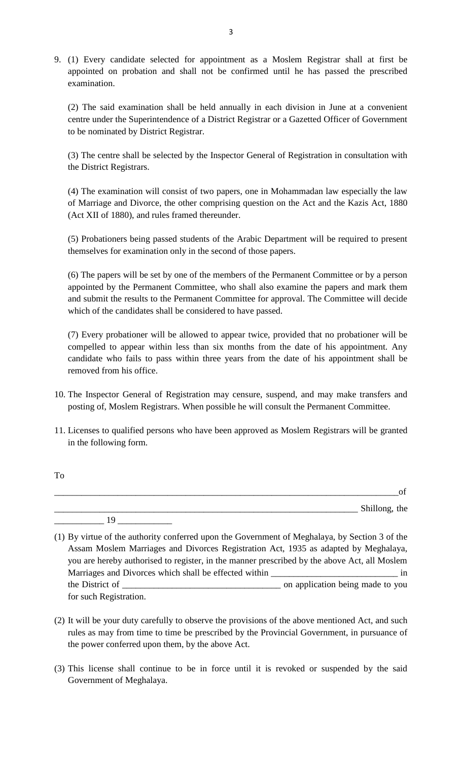9. (1) Every candidate selected for appointment as a Moslem Registrar shall at first be appointed on probation and shall not be confirmed until he has passed the prescribed examination.

(2) The said examination shall be held annually in each division in June at a convenient centre under the Superintendence of a District Registrar or a Gazetted Officer of Government to be nominated by District Registrar.

(3) The centre shall be selected by the Inspector General of Registration in consultation with the District Registrars.

(4) The examination will consist of two papers, one in Mohammadan law especially the law of Marriage and Divorce, the other comprising question on the Act and the Kazis Act, 1880 (Act XII of 1880), and rules framed thereunder.

(5) Probationers being passed students of the Arabic Department will be required to present themselves for examination only in the second of those papers.

(6) The papers will be set by one of the members of the Permanent Committee or by a person appointed by the Permanent Committee, who shall also examine the papers and mark them<br>and submit the results to the Permanent Committee for approval. The Committee will decide<br>which of the candidates shall be considered to and submit the results to the Permanent Committee for approval. The Committee will decide which of the candidates shall be considered to have passed.

compelled to appear within less than six months from the date of his appointment. Any candidate who fails to pass within three years from the date of his appointment shall be removed from his office. (7) Every probationer will be allowed to appear twice, provided that no probationer will be compelled to appear within less than six months from the date of his appointment. Any candidate who fails to pass within three yea

- posting of, Moslem Registrars. When possible he will consult the Permanent Committee.
- 11. Licenses to qualified persons who have been approved as Moslem Registrars will be granted in the following form.

| Shillong, the |
|---------------|
|               |

To

- rules as may from time to time be prescribed by the Provincial Government, in pursuance of the power conferred upon them, by the above Act. (2) It will be your duty carefully to observe the provisions of the above mentioned Act, and such rules as may from time to time be prescribed by the Provincial Government, in pursuance of the power conferred upon them, by
- Government of Meghalaya.

<sup>(1)</sup> By virtue of the authority conferred upon the Government of Meghalaya, by Section 3 of the Assam Moslem Marriages and Divorces Registration Act, 1935 as adapted by Meghalaya, you are hereby authorised to register, in the manner prescribed by the above Act, all Moslem Marriages and Divorces which shall be effected within \_\_\_\_\_\_\_\_\_\_\_\_\_\_\_\_\_\_\_\_\_\_\_\_\_\_\_\_\_\_\_\_\_ in By virtue of the authority conferred upon the Government of Meghalaya, by Section 3 of the<br>Assam Moslem Marriages and Divorces Registration Act, 1935 as adapted by Meghalaya,<br>you are hereby authorised to register, in the m for such Registration. (2) It will be your duty carefully to observe the provisions of the above mentioned Act, and such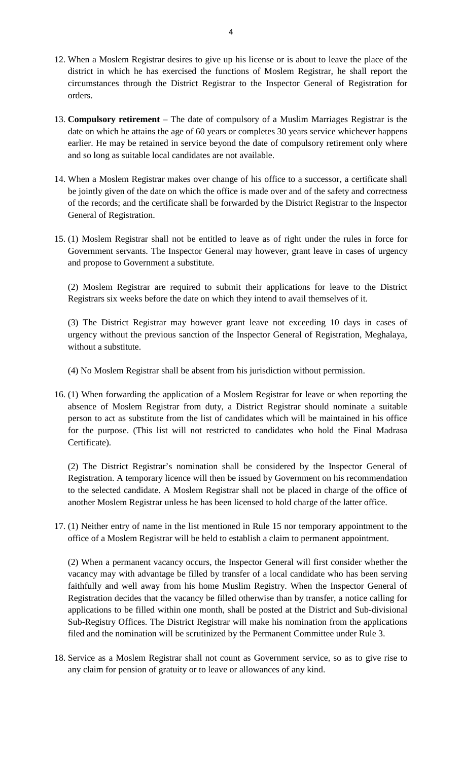- 12. When a Moslem Registrar desires to give up his license or is about to leave the place of the district in which he has exercised the functions of Moslem Registrar, he shall report the circumstances through the District Registrar to the Inspector General of Registration for orders. district in which he has exercised the functions of Moslem Registrar, he shall report the circumstances through the District Registrar to the Inspector General of Registration for orders.<br>13. **Compulsory retirement** – The
- circumstances through the District Registrar to the Inspector General of Registration for<br>orders.<br>**Compulsory retirement** The date of compulsory of a Muslim Marriages Registrar is the<br>date on which he attains the age of compulsory retirement – The date of compulsory of a Muslim Marriages Registrar is the date on which he attains the age of 60 years or completes 30 years service whichever happens earlier. He may be retained in service beyo and so long as suitable local candidates are not available.
- date on which he attains the age of 60 years or completes 30 years service whichever happens<br>earlier. He may be retained in service beyond the date of compulsory retirement only where<br>and so long as suitable local candidat of the records; and the certificate shall be forwarded by the District Registrar to the Inspector General of Registration.
- Government servants. The Inspector General may however, grant leave in cases of urgency and propose to Government a substitute. (1) Moslem Registrar shall not be entitled to leave as of right under the rules in force for<br>Government servants. The Inspector General may however, grant leave in cases of urgency<br>and propose to Government a substitute.<br>(

Registrars six weeks before the date on which they intend to avail themselves of it.

(3) The District Registrar may however grant leave not exceeding 10 days in cases of (2) Moslem Registrar are required to submit their applications for leave to the District Registrars six weeks before the date on which they intend to avail themselves of it.<br>(3) The District Registrar may however grant lea without a substitute.

- (4) No Moslem Registrar shall be absent from his jurisdiction without permission.
- 16. (1) When forwarding the application of a Moslem Registrar for leave or when reporting the<br>absence of Moslem Registrar from duty, a District Registrar should nominate a suitable<br>absence of Moslem Registrar from duty, a person to act as substitute from the list of candidates which will be maintained in his office (1) When forwarding the application of a Moslem Registrar for leave or when reporting the absence of Moslem Registrar from duty, a District Registrar should nominate a suitable person to act as substitute from the list of Certificate).

(2) The District Registrar's nomination shall be considered by the Inspector General of Registration. A temporary licence will then be issued by Government on his recommendation Certificate).<br>
(2) The District Registrar's nomination shall be considered by the Inspector General of<br>
Registration. A temporary licence will then be issued by Government on his recommendation<br>
to the selected candidate. another Moslem Registrar unless he has been licensed to hold charge of the latter office. Registration. A temporary licence will then be issued by Government on his recommendation<br>to the selected candidate. A Moslem Registrar shall not be placed in charge of the office of<br>another Moslem Registrar unless he has to the selected candidate. A Moslem Registrar shall not be placed in charge of the office of another Moslem Registrar unless he has been licensed to hold charge of the latter office.<br>(1) Neither entry of name in the list m

(1) Neither entry of name in the list mentioned in Rule 15 nor temporary appointment to the office of a Moslem Registrar will be held to establish a claim to permanent appointment.<br>(2) When a permanent vacancy occurs, the

vacancy may with advantage be filled by transfer of a local candidate who has been serving faithfully and well away from his home Muslim Registry. When the Inspector General of Registration decides that the vacancy be filled otherwise than by transfer, a notice calling for applications to be filled within one month, shall be posted at the District and Sub-divisional Sub-Registry Offices. The District Registrar will make his nomination from the applications filed and the nomination will be scrutinized by the Permanent Committee under Rule 3. 18. applications to be filled within one month, shall be posted at the District and Sub-divisional<br>
18. Service as a Moslem Registrar shall not count as Government Committee under Rule 3.<br>
18. Service as a Moslem Registrar

any claim for pension of gratuity or to leave or allowances of any kind.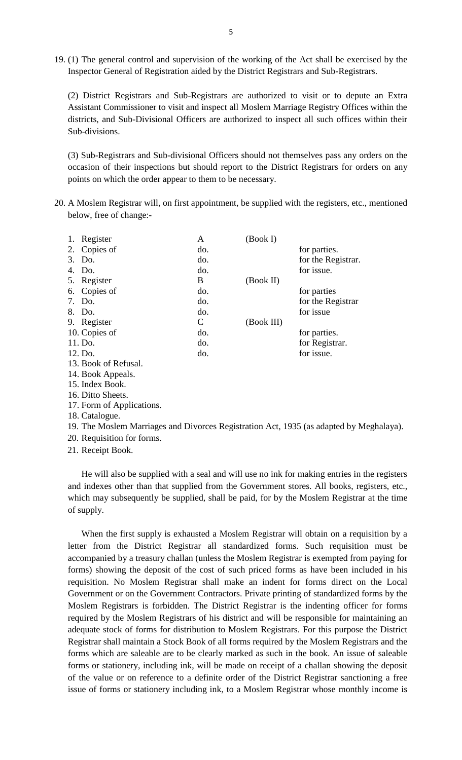19. (1) The general control and supervision of the working of the Act shall be exercised by the Inspector General of Registration aided by the District Registrars and Sub-Registrars.

(2) District Registrars and Sub-Registrars are authorized to visit or to depute an Extra Assistant Commissioner to visit and inspect all Moslem Marriage Registry Offices within the districts, and Sub-Divisional Officers are authorized to inspect all such offices within their Sub-divisions.

(3) Sub-Registrars and Sub-divisional Officers should not themselves pass any orders on the districts, and Sub-Divisional Officers are authorized to inspect all such offices within their<br>Sub-divisions.<br>(3) Sub-Registrars and Sub-divisional Officers should not themselves pass any orders on the<br>occasion of their in points on which the order appear to them to be necessary. (3) Sub-Registrars and Sub-divisional Officers should not themselves pass any orders on the occasion of their inspections but should report to the District Registrars for orders on any points on which the order appear to t

below, free of change:-

|    | 1. Register               | A                         | (Book I)                                                         |                    |
|----|---------------------------|---------------------------|------------------------------------------------------------------|--------------------|
|    | 2. Copies of              | do.                       |                                                                  | for parties.       |
|    | 3. Do.                    | do.                       |                                                                  | for the Registrar. |
| 4. | Do.                       | do.                       |                                                                  | for issue.         |
|    | 5. Register               | B                         | (Book II)                                                        |                    |
|    | 6. Copies of              | do.                       |                                                                  | for parties        |
|    | 7. Do.                    | do.                       |                                                                  | for the Registrar  |
|    | 8. Do.                    | do.                       |                                                                  | for issue          |
|    | 9. Register               | $\mathsf{C}$              | (Book III)                                                       |                    |
|    | 10. Copies of             | do.                       |                                                                  | for parties.       |
|    | 11. Do.                   | do.                       |                                                                  | for Registrar.     |
|    | 12. Do.                   | do.                       |                                                                  | for issue.         |
|    | 13. Book of Refusal.      |                           |                                                                  |                    |
|    | 14. Book Appeals.         |                           |                                                                  |                    |
|    | 15. Index Book.           |                           |                                                                  |                    |
|    | 16. Ditto Sheets.         |                           |                                                                  |                    |
|    | 17. Form of Applications. |                           |                                                                  |                    |
|    | 18. Catalogue.            |                           |                                                                  |                    |
|    | $10.771 \pm 1.11$         | $\mathbf{1}$ $\mathbf{D}$ | $\mathbf{D}$ $\mathbf{A}$ $\mathbf{A}$ $\mathbf{A}$ $\mathbf{A}$ |                    |

- 
- 
- 
- 
- 
- 
- 13. Book of Refusa<br>14. Book Appeals.<br>15. Index Book.<br>16. Ditto Sheets.<br>17. Form of Applic<br>18. Catalogue.<br>19. The Moslem M 14. Book Appeals.<br>15. Index Book.<br>16. Ditto Sheets.<br>17. Form of Applications.<br>18. Catalogue.<br>19. The Moslem Marriages and Divorces Registration Act, 1935 (as adapted by Meghalaya).<br>20. Requisition for forms. 15. Index Book.<br>16. Ditto Sheets.<br>17. Form of Applications.<br>18. Catalogue.<br>19. The Moslem Marriages and<br>20. Requisition for forms.<br>21. Receipt Book. 10. Duto Sheets.<br>17. Form of Applicatio<br>18. Catalogue.<br>19. The Moslem Marri<br>20. Requisition for for:<br>21. Receipt Book.
- 

He will also be supplied with a seal and will use no ink for making entries in the registers and indexes other than that supplied from the Government stores. All books, registers, etc., which may subsequently be supplied, shall be paid, for by the Moslem Registrar at the time of supply.

When the first supply is exhausted a Moslem Registrar will obtain on a requisition by a letter from the District Registrar all standardized forms. Such requisition must be accompanied by a treasury challan (unless the Moslem Registrar is exempted from paying for forms) showing the deposit of the cost of such priced forms as have been included in his requisition. No Moslem Registrar shall mak forms) showing the deposit of the cost of such priced forms as have been included in his requisition. No Moslem Registrar shall make an indent for forms direct on the Local Government or on the Government Contractors. Private printing of standardized forms by the required by the Moslem Registrars of his district and will be responsible for maintaining an requisition. No Moslem Registrar shall make an indent for forms direct on the Local<br>Government or on the Government Contractors. Private printing of standardized forms by the<br>Moslem Registrars is forbidden. The District Re forms which are saleable are to be clearly marked as such in the book. An issue of saleable forms or stationery, including ink, will be made on receipt of a challan showing the deposit of the value or on reference to a definite order of the District Registrar sanctioning a free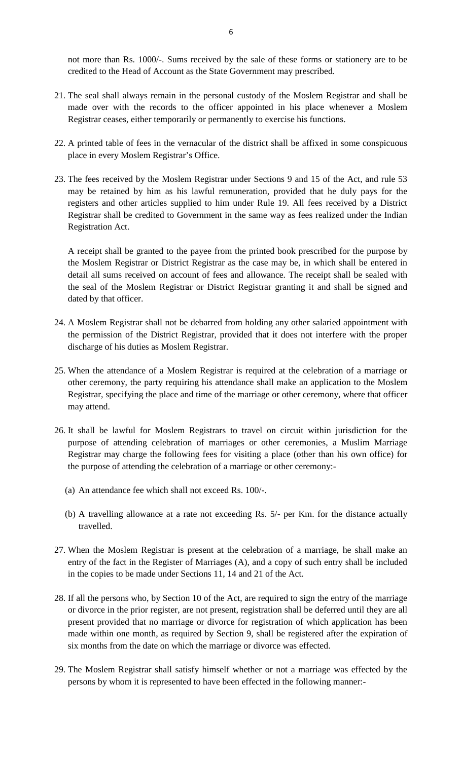not more than Rs. 1000/-. Sums received by the sale of these forms or stationery are to be credited to the Head of Account as the State Government may prescribed.

- not more than Rs. 1000/-. Sums received by the sale of these forms or stationery are to be credited to the Head of Account as the State Government may prescribed.<br>21. The seal shall always remain in the personal custody of Registrar ceases, either temporarily or permanently to exercise his functions. 21. The seal shall always remain in the personal custody of the Moslem Registrar and shall be made over with the records to the officer appointed in his place whenever a Moslem Registrar ceases, either temporarily or perma
- place in every Moslem Registrar's Office. 22. A printed table of fees in the vernacular of the district shall be affixed in some conspicuous<br>place in every Moslem Registrar's Office.<br>23. The fees received by the Moslem Registrar under Sections 9 and 15 of the Act,
- may be retained by him as his lawful remuneration, provided that he duly pays for the registers and other articles supplied to him under Rule 19. All fees received by a District Registrar shall be credited to Government in the same way as fees realized under the Indian Registration Act.

A receipt shall be granted to the payee from the printed book prescribed for the purpose by the Moslem Registrar or District Registrar as the case may be, in which shall be entered in detail all sums received on account of fees and allowance. The receipt shall be sealed with the seal of the Moslem Registrar or District Registrar granting it and shall be signed and dated by that officer.

- 24. A Moslem Registrar shall not be debarred from holding any other salaried appointment with the permission of the District Registrar, provided that it does not interfere with the proper discharge of his duties as Moslem Registrar. 24. A Moslem Registrar shall not be debarred from holding any other salaried appointment with<br>the permission of the District Registrar, provided that it does not interfere with the proper<br>discharge of his duties as Moslem
- the permission of the District Registrar, provided that it does not interfere with the proper<br>discharge of his duties as Moslem Registrar.<br>When the attendance of a Moslem Registrar is required at the celebration of a marri discharge of his duties as Moslem Registrar.<br>When the attendance of a Moslem Registrar is required at the celebration of a marriage or<br>other ceremony, the party requiring his attendance shall make an application to the Mos may attend. 26. It shall be lawful for Moslem Registrars to travel on circuit within jurisdiction for the lawful for Moslem Registrars to travel on circuit within jurisdiction for the 126. It shall be lawful for Moslem Registrars to t
- purpose of attending celebration of marriages or other ceremonies, a Muslim Marriage Registrar may charge the following fees for visiting a place (other than his own office) for It shall be lawful for Moslem Registrars to travel on circuit within jurisdipurpose of attending celebration of marriages or other ceremonies, a Mus.<br>Registrar may charge the following fees for visiting a place (other than purpose of attending celebration of marriages or other<br>Registrar may charge the following fees for visiting a plate<br>the purpose of attending the celebration of a marriage or oth<br>(a) An attendance fee which shall not exceed (a) An attendance fee which shall not exceed Rs. 100/-.<br>
(b) A travelling allowance at a rate not exceeding Rs. 5/- per Km. for the distance actually
	-
	- travelled.
- 27. When the Moslem Registrar is present at the celebration of a marriage, he shall make an entry of the fact in the Register of Marriages (A), and a copy of such entry shall be included b) A travelling allowance at a rate not exceeding Rs. 5/- per Km. for the distance actually travelled.<br>When the Moslem Registrar is present at the celebration of a marriage, he shall make an entry of the fact in the Regist in the copies to be made under Sections 11, 14 and 21 of the Act. 27. When the Moslem Registrar is present at the celebration of a marriage, he shall make an entry of the fact in the Register of Marriages (A), and a copy of such entry shall be included in the copies to be made under Sect external or divorce in the Register of Marriages (A), and a copy of such entry shall be included<br>in the copies to be made under Sections 11, 14 and 21 of the Act.<br>28. If all the persons who, by Section 10 of the Act, are r
- present provided that no marriage or divorce for registration of which application has been made within one month, as required by Section 9, shall be registered after the expiration of six months from the date on which the marriage or divorce was effected.
- 29. The Moslem Registrar shall satisfy himself whether or not a marriage was effected by the persons by whom it is represented to have been effected in the following manner:-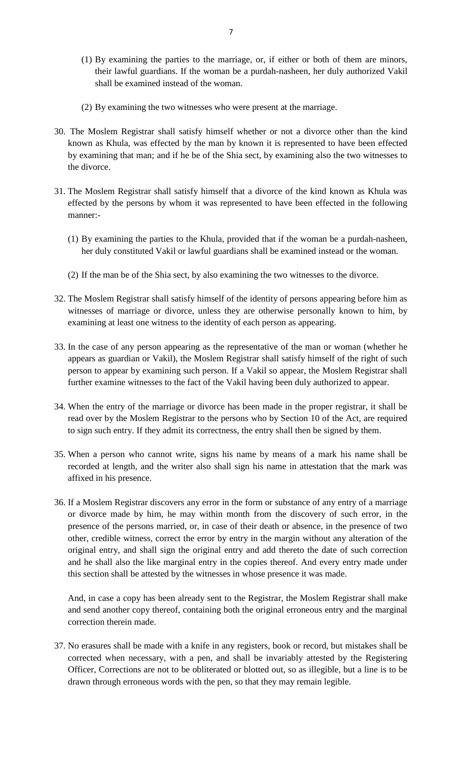- <sup>7</sup><br>(1) By examining the parties to the marriage, or, if either or both of them are minors,<br>their lawful guardians. If the woman be a purdah-nasheen, her duly authorized Vakil their lawful guardians. If the woman be a purdah-nasheen, her duly authorized Vakil shall be examined instead of the woman. (1) By examining the parties to the marriage, or, if either or both of the their lawful guardians. If the woman be a purdah-nasheen, her duly au shall be examined instead of the woman.<br>(2) By examining the two witnesses wh
- 
- 30. The Moslem Registrar shall satisfy himself whether or not a divorce other than the kind known as Khula, was effected by the man by known it is represented to have been effected the divorce. 31. The Moslem Registrar shall satisfy himself that a divorce of the kind known as Khula was effected by the persons by whom it was represented to have been effected in the following effected by the persons by whom it was
- by examining that man; and if he be of the Shia sect, by examining also the two witnesses to the divorce.<br>The Moslem Registrar shall satisfy himself that a divorce of the kind known as Khula was effected by the persons by manner:- The Moslem Registrar shall satisfy himself that a divorce of the kind known as Khula was<br>effected by the persons by whom it was represented to have been effected in the following<br>manner:-<br>(1) By examining the parties to th
	- her duly constituted Vakil or lawful guardians shall be examined instead or the woman. (1) By examining the parties to the Khula, provided that if the woman be a purdah-nasheen, her duly constituted Vakil or lawful guardians shall be examined instead or the woman.<br>(2) If the man be of the Shia sect, by also
	-
- 32. The Moslem Registrar shall satisfy himself of the identity of persons appearing before him as witnesses of marriage or divorce, unless they are otherwise personally known to him, by witnesses of marriage or divorce, unless they are otherwise personally known to him, by examining at least one witness to the identity of each person as appearing. 32. The Moslem Registrar shall satisfy himself of the identity of persons appearing before him as<br>witnesses of marriage or divorce, unless they are otherwise personally known to him, by<br>examining at least one witness to th
- witnesses of marriage or divorce, unless they are otherwise personally known to him, by examining at least one witness to the identity of each person as appearing.<br>In the case of any person appearing as the representative further examine witnesses to the fact of the Vakil having been duly authorized to appear. appears as guardian or Vakil), the Moslem Registrar shall satisfy himself of the right of such person to appear by examining such person. If a Vakil so appear, the Moslem Registrar shall further examine witnesses to the fa
- read over by the Moslem Registrar to the persons who by Section 10 of the Act, are required further examine witnesses to the fact of the Vakil having been duly authorized to appear.<br>When the entry of the marriage or divorce has been made in the proper registrar, it shall<br>read over by the Moslem Registrar to the p 34. When the entry of the marriage or divorce has been made in the proper registrar, it shall be read over by the Moslem Registrar to the persons who by Section 10 of the Act, are required to sign such entry. If they admit
- read over by the Moslem Registrar to the persons who by Section 10 of the Act, are required to sign such entry. If they admit its correctness, the entry shall then be signed by them.<br>When a person who cannot write, signs h affixed in his presence. 135. When a person who cannot write, signs his name by means of a mark his name shall be<br>recorded at length, and the writer also shall sign his name in attestation that the mark was<br>affixed in his presence.<br>36. If a Moslem recorded at length, and the writer also shall sign his name in attestation that the mark was
- presence of the persons married, or, in case of their death or absence, in the presence of two other, credible witness, correct the error by entry in the margin without any alteration of the original entry, and shall sign the original entry and add thereto the date of such correction and he shall also the like marginal entry in the copies thereof. And every entry made under this section shall be attested by the witnesses in whose presence it was made.

And, in case a copy has been already sent to the Registrar, the Moslem Registrar shall make<br>and send another copy thereof, containing both the original erroneous entry and the marginal<br>correction therein made.<br>37. No erasu and send another copy thereof, containing both the original erroneous entry and the marginal correction therein made.

corrected when necessary, with a pen, and shall be invariably attested by the Registering Officer, Corrections are not to be obliterated or blotted out, so as illegible, but a line is to be 37. No erasures shall be made with a knife in any registers, book or record, but mistakes shall be corrected when necessary, with a pen, and shall be invariably attested by the Registering Officer, Corrections are not to b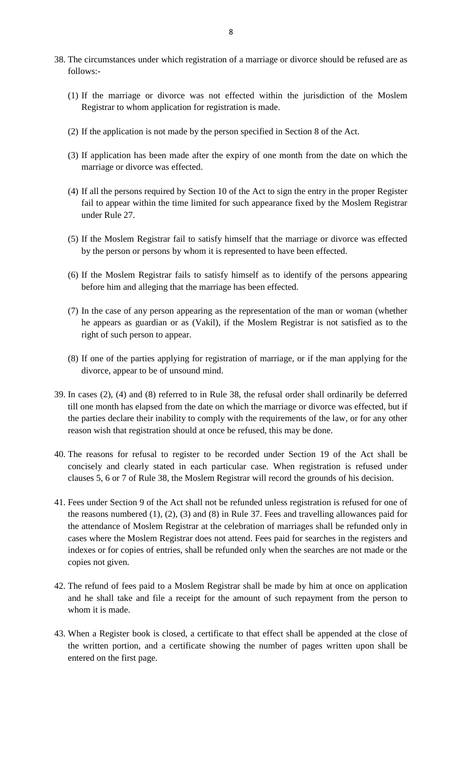- <sup>8</sup><br>38. The circumstances under which registration of a marriage or divorce should be refused are as<br>follows:follows:-
	- The circumstances under which registration of a marriage or divorce should be refused are as follows:-<br>(1) If the marriage or divorce was not effected within the jurisdiction of the Moslem<br>Registrar to whom application for Registrar to whom application for registration is made. (1) If the marriage or divorce was not effected within the jurisdiction of the Moslem<br>Registrar to whom application for registration is made.<br>(2) If the application is not made by the person specified in Section 8 of the A
	-
	- (2) If the application is not made by the person specified in Section 8 of the Act.<br>
	(3) If application has been made after the expiry of one month from the date on which the marriage or divorce was effected. marriage or divorce was effected.
	- (3) If application has been made after the expiry of one month from the date on which the marriage or divorce was effected.<br>
	(4) If all the persons required by Section 10 of the Act to sign the entry in the proper Register fail to appear within the time limited for such appearance fixed by the Moslem Registrar under Rule 27. (4) If all the persons required by Section 10 of the Act to sign the entry in the proper Register<br>fail to appear within the time limited for such appearance fixed by the Moslem Registrar<br>under Rule 27.<br>(5) If the Moslem Re fail to appear within the time limited for such appearance fixed by the Mosle<br>under Rule 27.<br>If the Moslem Registrar fail to satisfy himself that the marriage or divorce v<br>by the person or persons by whom it is represented
	-
	- (5) If the Moslem Registrar fail to satisfy himself that the marriage or divorce was effected<br>by the person or persons by whom it is represented to have been effected.<br>(6) If the Moslem Registrar fails to satisfy himself a before him and alleging that the marriage has been effected.
	- (6) If the Moslem Registrar fails to satisfy himself as to identify of the persons appearing<br>before him and alleging that the marriage has been effected.<br>(7) In the case of any person appearing as the representation of the right of such person to appear. (7) In the case of any person appearing as the representation of the man or woman (whether<br>he appears as guardian or as (Vakil), if the Moslem Registrar is not satisfied as to the<br>right of such person to appear.<br>(8) If one the appears as guardian or as (Vakil), if the<br>right of such person to appear.<br>If one of the parties applying for registratio<br>divorce, appear to be of unsound mind.
- 39. In cases (2), (4) and (8) referred to in Rule 38, the refusal order shall ordinarily be deferred
- till one month has elapsed from the date on which the marriage or divorce was effected, but if the parties declare their inability to comply with the requirements of the law, or for any other reason wish that registration should at once be refused, this may be done. till one month has elapsed from the date on which the marriage or divorce was effected, but if<br>the parties declare their inability to comply with the requirements of the law, or for any other<br>reason wish that registration
- clauses 5, 6 or 7 of Rule 38, the Moslem Registrar will record the grounds of his decision. 40. The reasons for refusal to register to be recorded under Section 19 of the Act shall be concisely and clearly stated in each particular case. When registration is refused under clauses 5, 6 or 7 of Rule 38, the Moslem
- the reasons numbered (1), (2), (3) and (8) in Rule 37. Fees and travelling allowances paid for the attendance of Moslem Registrar at the celebration of marriages shall be refunded only in cases where the Moslem Registrar does not attend. Fees paid for searches in the registers and indexes or for copies of entries, shall be refunded only when the searches are not made or the copies not given. the refund of fees paid to a Moslem Registrar shall be made by him at once on application<br>42. The refund of fees paid to a Moslem Registrar shall be made by him at once on application<br>and he shall take and file a receipt f
- whom it is made. 42. The refund of fees paid to a Moslem Registrar shall be made by him at once on application<br>and he shall take and file a receipt for the amount of such repayment from the person to<br>whom it is made.<br>43. When a Register bo
- the written portion, and a certificate showing the number of pages written upon shall be entered on the first page.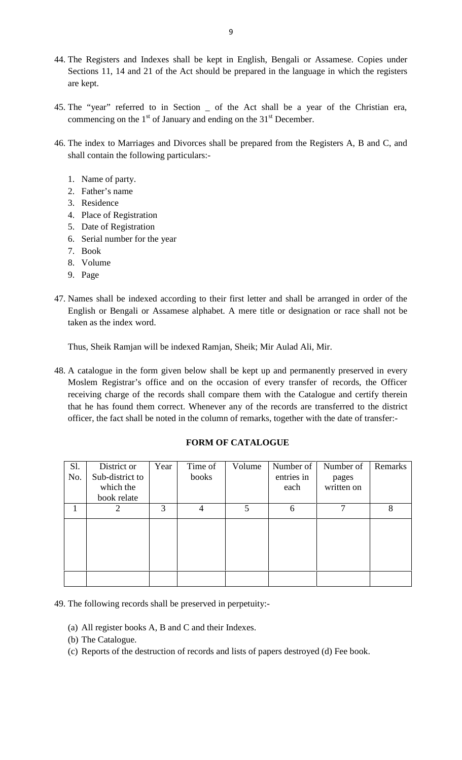- 9<br>44. The Registers and Indexes shall be kept in English, Bengali or Assamese. Copies under<br>Sections 11, 14 and 21 of the Act should be prepared in the language in which the registers g<br>Sections 11, 14 and 21 of the Act should be prepared in the language in which the registers<br>are kept. are kept.
- 45. The "year" referred to in Section \_ of the Act shall be a year of the Christian era, commencing on the  $1<sup>st</sup>$  of January and ending on the  $31<sup>st</sup>$  December. 45. The "year" referred to in Section  $\angle$  of the Act shall be a year of the Christian era,<br>commencing on the 1<sup>st</sup> of January and ending on the 31<sup>st</sup> December.<br>46. The index to Marriages and Divorces shall be prepared f
- shall contain the following particulars:- 3. Residence 46. The index to Marriages and Divorces shall be prepared from the Registers A, B and C, and shall contain the following particulars:-<br>1. Name of party.<br>2. Father's name 3. Residence
	-
	- 2. Father's name
	-
	- 1. Name of party.<br>
	2. Father's name<br>
	3. Residence<br>
	4. Place of Registration<br>
	5. Date of Registration 3. Residence<br>4. Place of Regist<br>5. Date of Regist<br>6. Serial number<br>7. Book<br>8. Volume 4. Place of Registra<br>5. Date of Registra<br>6. Serial number fo<br>7. Book<br>8. Volume<br>9. Page
	- 5. Date of Regis<br>6. Serial numbe<br>7. Book<br>8. Volume<br>9. Page
	- 1. Name of party.<br>
	2. Father's name<br>
	3. Residence<br>
	4. Place of Registration<br>
	5. Date of Registration<br>
	6. Serial number for the year 2. Father's name<br>
	3. Residence<br>
	4. Place of Registration<br>
	5. Date of Registration<br>
	6. Serial number for the year<br>
	7. Book
	-
	-
	-
- 47. Names shall be indexed according to their first letter and shall be arranged in order of the English or Bengali or Assamese alphabet. A mere title or designation or race shall not be taken as the index word.

Thus, Sheik Ramjan will be indexed Ramjan, Sheik; Mir Aulad Ali, Mir.

48. A catalogue in the form given below shall be kept up and permanently preserved in every Moslem Registrar's office and on the occasion of every transfer of records, the Officer receiving charge of the records shall compare them with the Catalogue and certify therein that he has found them correct. Whenever any of the records are transferred to the district

## **FORM OF CATALOGUE**

| Sl.<br>No. | District or<br>Sub-district to<br>which the | Year | Time of<br>books | Volume | Number of<br>entries in<br>each | Number of<br>pages<br>written on | Remarks |
|------------|---------------------------------------------|------|------------------|--------|---------------------------------|----------------------------------|---------|
| 1          | book relate<br>$\overline{2}$               | 3    | $\overline{4}$   | 5      | 6                               | $\overline{7}$                   | 8       |
|            |                                             |      |                  |        |                                 |                                  |         |
|            |                                             |      |                  |        |                                 |                                  |         |

- The following records s<br>
(a) All register books A<br>
(b) The Catalogue.<br>
(c) Reports of the destr
- 
- (a) All register books A, B and C and their Indexes.<br>
(b) The Catalogue.<br>
(c) Reports of the destruction of records and lists of papers destroyed (d) Fee book.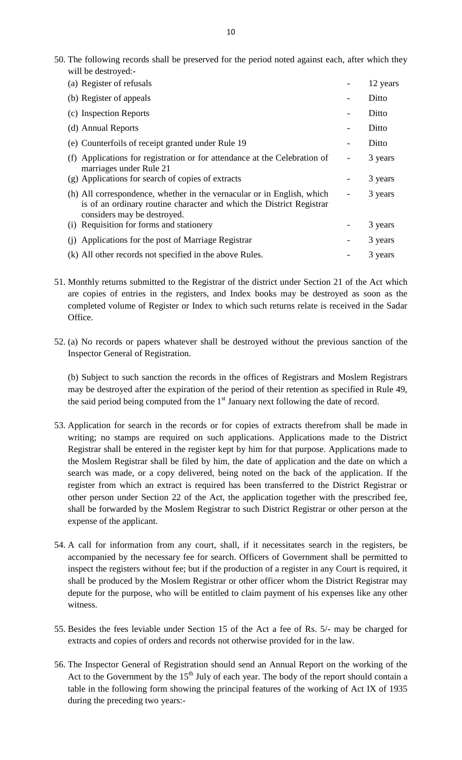| 10                                                                                                                                                                            |          |
|-------------------------------------------------------------------------------------------------------------------------------------------------------------------------------|----------|
| 50. The following records shall be preserved for the period noted against each, after which they<br>will be destroyed:-                                                       |          |
| (a) Register of refusals                                                                                                                                                      | 12 years |
| (b) Register of appeals                                                                                                                                                       | Ditto    |
| (c) Inspection Reports                                                                                                                                                        | Ditto    |
| (d) Annual Reports                                                                                                                                                            | Ditto    |
| (e) Counterfoils of receipt granted under Rule 19                                                                                                                             | Ditto    |
| Applications for registration or for attendance at the Celebration of<br>(f)<br>marriages under Rule 21                                                                       | 3 years  |
| (g) Applications for search of copies of extracts                                                                                                                             | 3 years  |
| (h) All correspondence, whether in the vernacular or in English, which<br>is of an ordinary routine character and which the District Registrar<br>considers may be destroyed. | 3 years  |
| (i) Requisition for forms and stationery                                                                                                                                      | 3 years  |
| Applications for the post of Marriage Registrar<br>(i)                                                                                                                        | 3 years  |
| (k) All other records not specified in the above Rules.                                                                                                                       | 3 years  |

- (j) Applications for the post of Marriage Registrar and the seculiarity of the Registrate copies of entries in the registers, and Index books may be destroyed as soon as the completed volume of Register or Index to which s completed volume of Register or Index to which such returns relate is received in the Sadar Office. are copies of entries in the registers, and Index books may be destroyed as soon as the completed volume of Register or Index to which such returns relate is received in the Sadar Office.<br>S2. (a) No records or papers whate
- Inspector General of Registration.

(b) Subject to such sanction the records in the offices of Registrars and Moslem Registrars<br>may be destroyed after the expiration of the period of their retention as specified in Rule 49,<br>the said period being computed fr may be destroyed after the expiration of the period of their retention as specified in Rule 49, the said period being computed from the  $1<sup>st</sup>$  January next following the date of record.

- writing; no stamps are required on such applications. Applications made to the District Registrar shall be entered in the register kept by him for that purpose. Applications made to the Moslem Registrar shall be filed by him, the date of application and the date on which a Application for search in the records or for copies of extracts therefrom shall be made in writing; no stamps are required on such applications. Applications made to the District Registrar shall be entered in the register riting; no stamps are required on such applications. Applications made to the District Registrar shall be entered in the register kept by him for that purpose. Applications made to the Moslem Registrar shall be filed by hi other person under Section 22 of the Act, the application together with the prescribed fee, the Moslem Registrar shall be filed by him, the date of application and the date on which a search was made, or a copy delivered, being noted on the back of the application. If the register from which an extract is require expense of the applicant. 54. A call for information from any court, shall, if it necessitates search in the registers, be
- accompanied by the necessary fee for search. Officers of Government shall be permitted to inspect the registers without fee; but if the production of a register in any Court is required, it shall be produced by the Moslem Registrar or other officer whom the District Registrar may depute for the purpose, who will be entitled to claim payment of his expenses like any other witness.
- 55. Besides the fees leviable under Section 15 of the Act a fee of Rs. 5/- may be charged for extracts and copies of orders and records not otherwise provided for in the law.
- 55. Besides the fees leviable under Section 15 of the Act a fee of Rs. 5/- may be charged for extracts and copies of orders and records not otherwise provided for in the law.<br>56. The Inspector General of Registration shou extracts and copies of orders and records not otherwise provided for in the law.<br>The Inspector General of Registration should send an Annual Report on the working of the<br>Act to the Government by the 15<sup>th</sup> July of each yea during the preceding two years:-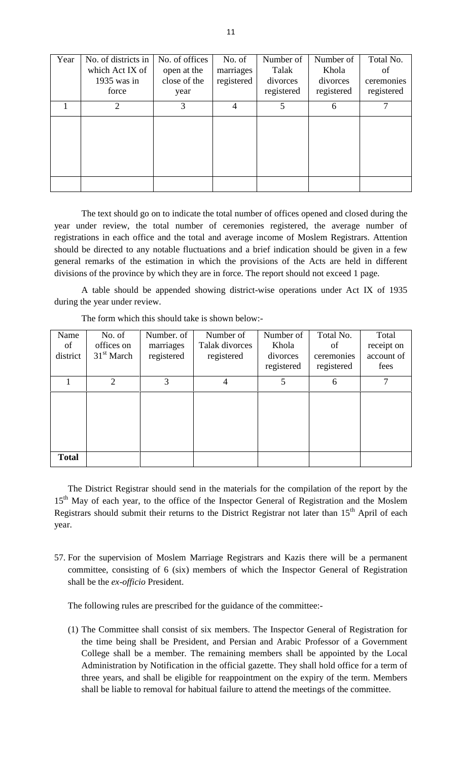|      |                                                                |                                                       | 11                                |                                              |                                              |                                             |
|------|----------------------------------------------------------------|-------------------------------------------------------|-----------------------------------|----------------------------------------------|----------------------------------------------|---------------------------------------------|
| Year | No. of districts in<br>which Act IX of<br>1935 was in<br>force | No. of offices<br>open at the<br>close of the<br>year | No. of<br>marriages<br>registered | Number of<br>Talak<br>divorces<br>registered | Number of<br>Khola<br>divorces<br>registered | Total No.<br>of<br>ceremonies<br>registered |
|      | $\overline{2}$                                                 | 3                                                     | $\overline{4}$                    | 5                                            | 6                                            | 7                                           |
|      |                                                                |                                                       |                                   |                                              |                                              |                                             |
|      |                                                                |                                                       |                                   |                                              |                                              |                                             |
|      |                                                                |                                                       |                                   |                                              |                                              |                                             |
|      |                                                                |                                                       |                                   |                                              |                                              |                                             |

The text should go on to indicate the total number of offices opened and closed during the year under review, the total number of ceremonies registered, the average number of The text should go on to indicate the total number of offices opened and closed during the year under review, the total number of ceremonies registered, the average number of registrations in each office and the total and general remarks of the estimation in which the provisions of the Acts are held in different divisions of the province by which they are in force. The report should not exceed 1 page.

|                        | during the year under review.        |                                       | A table should be appended showing district-wise operations under Act IX of 1935<br>The form which this should take is shown below:-                                                                     |                                              |                                             |                                           |
|------------------------|--------------------------------------|---------------------------------------|----------------------------------------------------------------------------------------------------------------------------------------------------------------------------------------------------------|----------------------------------------------|---------------------------------------------|-------------------------------------------|
| Name<br>of<br>district | No. of<br>offices on<br>$31st$ March | Number, of<br>marriages<br>registered | Number of<br>Talak divorces<br>registered                                                                                                                                                                | Number of<br>Khola<br>divorces<br>registered | Total No.<br>of<br>ceremonies<br>registered | Total<br>receipt on<br>account of<br>fees |
|                        | $\overline{2}$                       | 3                                     | $\overline{4}$                                                                                                                                                                                           | 5                                            | 6                                           | 7                                         |
| <b>Total</b>           |                                      |                                       |                                                                                                                                                                                                          |                                              |                                             |                                           |
|                        |                                      |                                       | The District Registrar should send in the materials for the compilation of the report by the<br>15 <sup>th</sup> May of each year, to the office of the Inspector General of Registration and the Moslem |                                              |                                             |                                           |

15th May of each year, to the office of the Inspector General of Registration and the Moslem<br>
15<sup>th</sup> May of each year, to the office of the Inspector General of Registration and the Moslem<br>
Registrars should submit their r Registrars should submit their returns to the District Registrar not later than  $15^{th}$  April of each year.<br>S7. For the supervision of Moslem Marriage Registrars and Kazis there will be a permanent committee, consisting o year.

57. For the supervision of Moslem Marriage Registrars and Kazis there will be a permanent committee, consisting of 6 (six) members of which the Inspector General of Registration shall be the *ex-officio* President.

The following rules are prescribed for the guidance of the committee:-

Shall be the *ex-officio* President.<br>
The following rules are prescribed for the guidance of the committee:<br>
(1) The Committee shall consist of six members. The Inspector General of Registration for<br>
the time being shall b following rules are prescribed for the guidance of the committee:-<br>The Committee shall consist of six members. The Inspector General of Registration for<br>the time being shall be President, and Persian and Arabic Professor o Administration by Notification in the official gazette. They shall hold office for a term of three years, and shall be eligible for reappointment on the expiry of the term. Members the time being shall be President, and Persian and Arabic Professor of a Governic College shall be a member. The remaining members shall be appointed by the L<br>Administration by Notification in the official gazette. They sh